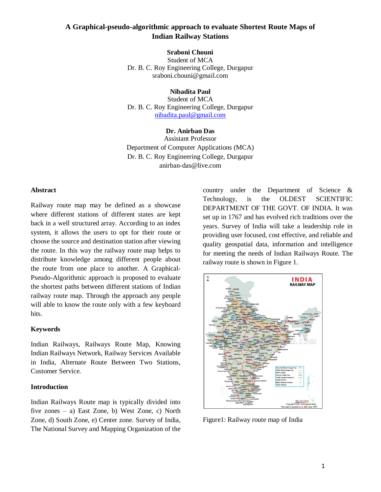# **A Graphical-pseudo-algorithmic approach to evaluate Shortest Route Maps of Indian Railway Stations**

**Sraboni Chouni**

Student of MCA Dr. B. C. Roy Engineering College, Durgapur sraboni.chouni@gmail.com

## **Nibadita Paul**

Student of MCA Dr. B. C. Roy Engineering College, Durgapur [nibadita.paul@gmail.com](mailto:nibadita.paul@gmail.com)

## **Dr. Anirban Das**

Assistant Professor Department of Computer Applications (MCA) Dr. B. C. Roy Engineering College, Durgapur anirban-das@live.com

### **Abstract**

Railway route map may be defined as a showcase where different stations of different states are kept back in a well structured array. According to an index system, it allows the users to opt for their route or choose the source and destination station after viewing the route. In this way the railway route map helps to distribute knowledge among different people about the route from one place to another. A Graphical-Pseudo-Algorithmic approach is proposed to evaluate the shortest paths between different stations of Indian railway route map. Through the approach any people will able to know the route only with a few keyboard hits.

### **Keywords**

Indian Railways, Railways Route Map, Knowing Indian Railways Network, Railway Services Available in India, Alternate Route Between Two Stations, Customer Service.

## **Introduction**

Indian Railways Route map is typically divided into five zones – a) East Zone, b) West Zone, c) North Zone, d) South Zone, e) Center zone. Survey of India, The National Survey and Mapping Organization of the

country under the Department of Science & Technology, is the OLDEST SCIENTIFIC DEPARTMENT OF THE GOVT. OF INDIA. It was set up in 1767 and has evolved rich traditions over the years. Survey of India will take a leadership role in providing user focused, cost effective, and reliable and quality geospatial data, information and intelligence for meeting the needs of Indian Railways Route. The railway route is shown in Figure 1.



Figure1: Railway route map of India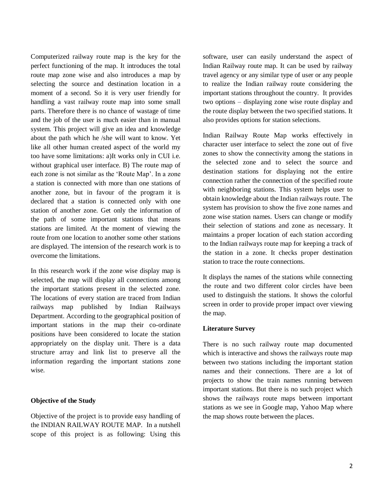Computerized railway route map is the key for the perfect functioning of the map. It introduces the total route map zone wise and also introduces a map by selecting the source and destination location in a moment of a second. So it is very user friendly for handling a vast railway route map into some small parts. Therefore there is no chance of wastage of time and the job of the user is much easier than in manual system. This project will give an idea and knowledge about the path which he /she will want to know. Yet like all other human created aspect of the world my too have some limitations: a)It works only in CUI i.e. without graphical user interface. B) The route map of each zone is not similar as the 'Route Map'. In a zone a station is connected with more than one stations of another zone, but in favour of the program it is declared that a station is connected only with one station of another zone. Get only the information of the path of some important stations that means stations are limited. At the moment of viewing the route from one location to another some other stations are displayed. The intension of the research work is to overcome the limitations.

In this research work if the zone wise display map is selected, the map will display all connections among the important stations present in the selected zone. The locations of every station are traced from Indian railways map published by Indian Railways Department. According to the geographical position of important stations in the map their co-ordinate positions have been considered to locate the station appropriately on the display unit. There is a data structure array and link list to preserve all the information regarding the important stations zone wise.

## **Objective of the Study**

Objective of the project is to provide easy handling of the INDIAN RAILWAY ROUTE MAP. In a nutshell scope of this project is as following: Using this

software, user can easily understand the aspect of Indian Railway route map. It can be used by railway travel agency or any similar type of user or any people to realize the Indian railway route considering the important stations throughout the country. It provides two options – displaying zone wise route display and the route display between the two specified stations. It also provides options for station selections.

Indian Railway Route Map works effectively in character user interface to select the zone out of five zones to show the connectivity among the stations in the selected zone and to select the source and destination stations for displaying not the entire connection rather the connection of the specified route with neighboring stations. This system helps user to obtain knowledge about the Indian railways route. The system has provision to show the five zone names and zone wise station names. Users can change or modify their selection of stations and zone as necessary. It maintains a proper location of each station according to the Indian railways route map for keeping a track of the station in a zone. It checks proper destination station to trace the route connections.

It displays the names of the stations while connecting the route and two different color circles have been used to distinguish the stations. It shows the colorful screen in order to provide proper impact over viewing the map.

## **Literature Survey**

There is no such railway route map documented which is interactive and shows the railways route map between two stations including the important station names and their connections. There are a lot of projects to show the train names running between important stations. But there is no such project which shows the railways route maps between important stations as we see in Google map, Yahoo Map where the map shows route between the places.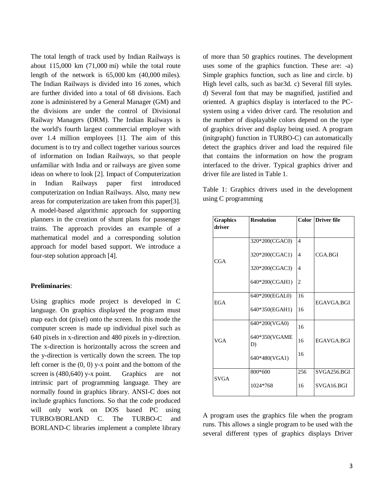The total length of track used by Indian Railways is about 115,000 km (71,000 mi) while the total route length of the network is 65,000 km (40,000 miles). The Indian Railways is divided into 16 zones, which are further divided into a total of 68 divisions. Each zone is administered by a General Manager (GM) and the divisions are under the control of Divisional Railway Managers (DRM). The Indian Railways is the world's fourth largest commercial employer with over 1.4 million employees [1]. The aim of this document is to try and collect together various sources of information on Indian Railways, so that people unfamiliar with India and or railways are given some ideas on where to look [2]. Impact of Computerization in Indian Railways paper first introduced computerization on Indian Railways. Also, many new areas for computerization are taken from this paper[3]. A model-based algorithmic approach for supporting planners in the creation of shunt plans for passenger trains. The approach provides an example of a mathematical model and a corresponding solution approach for model based support. We introduce a four-step solution approach [4].

### **Preliminaries**:

Using graphics mode project is developed in C language. On graphics displayed the program must map each dot (pixel) onto the screen. In this mode the computer screen is made up individual pixel such as 640 pixels in x-direction and 480 pixels in y-direction. The x-direction is horizontally across the screen and the y-direction is vertically down the screen. The top left corner is the  $(0, 0)$  y-x point and the bottom of the screen is (480,640) y-x point. Graphics are not intrinsic part of programming language. They are normally found in graphics library. ANSI-C does not include graphics functions. So that the code produced will only work on DOS based PC using TURBO/BORLAND C. The TURBO-C and BORLAND-C libraries implement a complete library of more than 50 graphics routines. The development uses some of the graphics function. These are: -a) Simple graphics function, such as line and circle. b) High level calls, such as bar3d. c) Several fill styles. d) Several font that may be magnified, justified and oriented. A graphics display is interfaced to the PCsystem using a video driver card. The resolution and the number of displayable colors depend on the type of graphics driver and display being used. A program (initgraph() function in TURBO-C) can automatically detect the graphics driver and load the required file that contains the information on how the program interfaced to the driver. Typical graphics driver and driver file are listed in Table 1.

Table 1: Graphics drivers used in the development using C programming

| <b>Graphics</b> | <b>Resolution</b>   |                | <b>Color Driver file</b> |
|-----------------|---------------------|----------------|--------------------------|
| driver          |                     |                |                          |
| <b>CGA</b>      | 320*200(CGAC0)      | $\overline{4}$ |                          |
|                 | 320*200(CGAC1)      | $\overline{4}$ | CGA.BGI                  |
|                 | 320*200(CGAC3)      | $\overline{4}$ |                          |
|                 | 640*200(CGAH1)      | $\overline{c}$ |                          |
| <b>EGA</b>      | 640*200(EGAL0)      | 16             |                          |
|                 | 640*350(EGAH1)      | 16             | EGAVGA.BGI               |
| <b>VGA</b>      | 640*200(VGA0)       | 16             |                          |
|                 | 640*350(VGAME<br>D) | 16             | <b>EGAVGA.BGI</b>        |
|                 | 640*480(VGA1)       | 16             |                          |
|                 | 800*600             | 256            | SVGA256.BGI              |
| <b>SVGA</b>     | 1024*768            | 16             | SVGA16.BGI               |

A program uses the graphics file when the program runs. This allows a single program to be used with the several different types of graphics displays Driver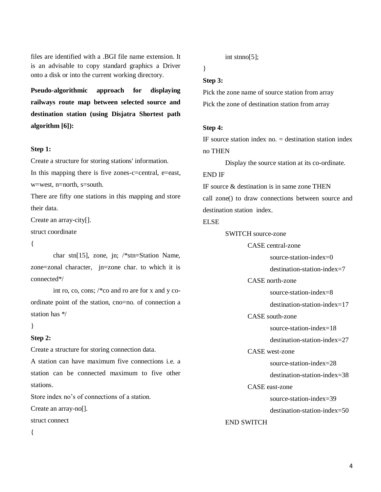files are identified with a .BGI file name extension. It is an advisable to copy standard graphics a Driver onto a disk or into the current working directory.

**Pseudo-algorithmic approach for displaying railways route map between selected source and destination station (using Disjatra Shortest path algorithm [6]):**

### **Step 1:**

Create a structure for storing stations' information. In this mapping there is five zones-c=central, e=east, w=west, n=north, s=south.

There are fifty one stations in this mapping and store their data.

Create an array-city[].

struct coordinate

 $\{$ 

char stn[15], zone, jn; /\*stn=Station Name, zone=zonal character, jn=zone char. to which it is connected\*/

int ro, co, cons; /\*co and ro are for x and y coordinate point of the station, cno=no. of connection a station has \*/

### }

### **Step 2:**

Create a structure for storing connection data.

A station can have maximum five connections i.e. a station can be connected maximum to five other stations.

Store index no's of connections of a station.

Create an array-no[].

struct connect

{

int stnno[5];

# }

## **Step 3:**

Pick the zone name of source station from array Pick the zone of destination station from array

#### **Step 4:**

IF source station index no.  $=$  destination station index no THEN

Display the source station at its co-ordinate.

# END IF

IF source  $\&$  destination is in same zone THEN call zone() to draw connections between source and destination station index.

#### ELSE

SWITCH source-zone

CASE central-zone

source-station-index=0

destination-station-index=7

CASE north-zone

source-station-index=8

destination-station-index=17

CASE south-zone

source-station-index=18

destination-station-index=27

CASE west-zone

source-station-index=28

destination-station-index=38

## CASE east-zone

source-station-index=39

destination-station-index=50

## END SWITCH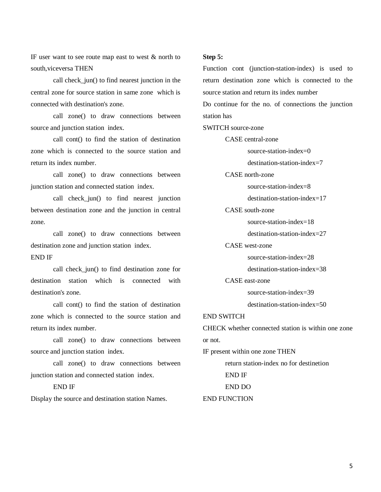IF user want to see route map east to west  $\&$  north to south,viceversa THEN

call check jun() to find nearest junction in the central zone for source station in same zone which is connected with destination's zone.

call zone() to draw connections between source and junction station index.

call cont() to find the station of destination zone which is connected to the source station and return its index number.

call zone() to draw connections between junction station and connected station index.

call check\_jun() to find nearest junction between destination zone and the junction in central zone.

call zone() to draw connections between destination zone and junction station index. END IF

call check\_jun() to find destination zone for destination station which is connected with destination's zone.

call cont() to find the station of destination zone which is connected to the source station and return its index number.

call zone() to draw connections between source and junction station index.

call zone() to draw connections between junction station and connected station index.

### END IF

Display the source and destination station Names.

### **Step 5:**

Function cont (junction-station-index) is used to return destination zone which is connected to the source station and return its index number Do continue for the no. of connections the junction station has SWITCH source-zone CASE central-zone source-station-index=0 destination-station-index=7 CASE north-zone source-station-index=8 destination-station-index=17 CASE south-zone source-station-index=18 destination-station-index=27 CASE west-zone source-station-index=28 destination-station-index=38 CASE east-zone source-station-index=39 destination-station-index=50 END SWITCH CHECK whether connected station is within one zone or not. IF present within one zone THEN return station-index no for destinetion END IF END DO END FUNCTION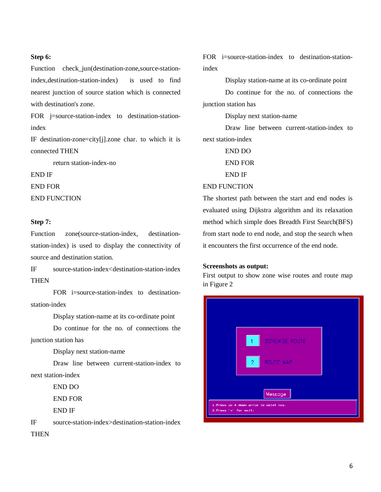### **Step 6:**

Function check\_jun(destination-zone,source-stationindex,destination-station-index) is used to find nearest junction of source station which is connected with destination's zone.

FOR j=source-station-index to destination-stationindex

IF destination-zone=city[j].zone char. to which it is connected THEN

return station-index-no

END IF

END FOR

END FUNCTION

## **Step 7:**

Function zone(source-station-index, destinationstation-index) is used to display the connectivity of source and destination station.

IF source-station-index<destination-station-index **THEN** 

FOR i=source-station-index to destinationstation-index

Display station-name at its co-ordinate point

Do continue for the no. of connections the junction station has

Display next station-name

Draw line between current-station-index to next station-index

END DO

END FOR

END IF

IF source-station-index>destination-station-index THEN

FOR i=source-station-index to destination-stationindex

Display station-name at its co-ordinate point

Do continue for the no. of connections the junction station has

Display next station-name

Draw line between current-station-index to next station-index

END DO

END FOR

END IF

END FUNCTION

The shortest path between the start and end nodes is evaluated using Dijkstra algorithm and its relaxation method which simple does Breadth First Search(BFS) from start node to end node, and stop the search when it encounters the first occurrence of the end node.

## **Screenshots as output:**

First output to show zone wise routes and route map in Figure 2

|                                                                  | $-1$<br>ZONEWISE ROUTE         |  |  |  |  |
|------------------------------------------------------------------|--------------------------------|--|--|--|--|
|                                                                  | <b>ROUTE MAP</b><br>$\sqrt{2}$ |  |  |  |  |
|                                                                  | Message                        |  |  |  |  |
| 1. Press up & down arrow to selet nos.<br>2. Press 'x' for exit. |                                |  |  |  |  |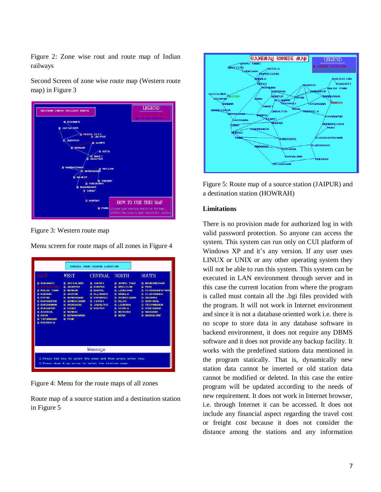Figure 2: Zone wise rout and route map of Indian railways

Second Screen of zone wise route map (Western route map) in Figure 3



Figure 3: Western route map

Menu screen for route maps of all zones in Figure 4

| CHOOSE YOUR SOURCE LOCATION                                                                                                                                                                                                                     |                                                                                                                                                                                                                           |                                                                                                                                                              |                                                                                                                                                                                                   |                                                                                                                                                                                                                       |  |  |
|-------------------------------------------------------------------------------------------------------------------------------------------------------------------------------------------------------------------------------------------------|---------------------------------------------------------------------------------------------------------------------------------------------------------------------------------------------------------------------------|--------------------------------------------------------------------------------------------------------------------------------------------------------------|---------------------------------------------------------------------------------------------------------------------------------------------------------------------------------------------------|-----------------------------------------------------------------------------------------------------------------------------------------------------------------------------------------------------------------------|--|--|
| EAST                                                                                                                                                                                                                                            | WEST                                                                                                                                                                                                                      | CENTRAL NORTH                                                                                                                                                |                                                                                                                                                                                                   | <b>SOUTH</b>                                                                                                                                                                                                          |  |  |
| <b>M</b> GUWAHATI<br><b>DARJEELING</b><br><b>MALDA TOWN</b><br><b>© НОИВАН</b><br><b>M</b> PATNA<br><b>© KHARAGPUR</b><br><b>M</b> BARDHAMAN<br><b>© DURGAPUR</b><br><b>MASSANS</b><br><b>O GAYA</b><br><b>M TATANAGAR</b><br><b>M</b> ROURKELA | <b>@ JAISALMER</b><br><b>同 JODHPUR</b><br><b>6 MARHAR</b><br><b>同 JAIPUR</b><br><b>MARIBARAD</b><br><b>@ GANDHIDHAM</b><br><b>M</b> UADODABA<br><b>O SURAT</b><br><b>ត MUMBAI</b><br><b>M</b> AURANGABAD<br><b>@ PUNE</b> | <b>M</b> JHANS I<br><b>M</b> KANPUR<br><b>M</b> BHOPAL<br><b>@ ALLAHBAD</b><br><b>M</b> UARANAST<br><b>M</b> ITARSI<br><b>FUR JABAL PUB</b><br><b>MAGPUR</b> | <b>M JAMMU TAWI</b><br><b>MARITSAR</b><br><b>M</b> LUDHIANA<br><b>M</b> AMBALA<br><b>@ CHANDIGARH</b><br><b>O DELHI</b><br><b>M LUCKNOW</b><br><b>O SHIMLA</b><br><b>MATHURA</b><br><b>图 AGRA</b> | <b>M BHUBANESHAR</b><br><b>同 PURI</b><br><b>M</b> UISHAKHAPATNAM<br><b>M UIJAYAWADA</b><br><b>M CHENNAT</b><br><b>M</b> GUNTAKAL<br><b>M TRIUANDRUM</b><br><b>M HYDERABAD</b><br><b>MADGAON</b><br><b>M</b> BANGALORE |  |  |
| Message                                                                                                                                                                                                                                         |                                                                                                                                                                                                                           |                                                                                                                                                              |                                                                                                                                                                                                   |                                                                                                                                                                                                                       |  |  |
| 1. Press tab key to selet the zone and then press enter key.<br>2. Press down & up arrow to selet the station name.                                                                                                                             |                                                                                                                                                                                                                           |                                                                                                                                                              |                                                                                                                                                                                                   |                                                                                                                                                                                                                       |  |  |

Figure 4: Menu for the route maps of all zones

Route map of a source station and a destination station in Figure 5



Figure 5: Route map of a source station (JAIPUR) and a destination station (HOWRAH)

## **Limitations**

There is no provision made for authorized log in with valid password protection. So anyone can access the system. This system can run only on CUI platform of Windows XP and it's any version. If any user uses LINUX or UNIX or any other operating system they will not be able to run this system. This system can be executed in LAN environment through server and in this case the current location from where the program is called must contain all the .bgi files provided with the program. It will not work in Internet environment and since it is not a database oriented work i.e. there is no scope to store data in any database software in backend environment, it does not require any DBMS software and it does not provide any backup facility. It works with the predefined stations data mentioned in the program statically. That is, dynamically new station data cannot be inserted or old station data cannot be modified or deleted. In this case the entire program will be updated according to the needs of new requirement. It does not work in Internet browser, i.e. through Internet it can be accessed. It does not include any financial aspect regarding the travel cost or freight cost because it does not consider the distance among the stations and any information